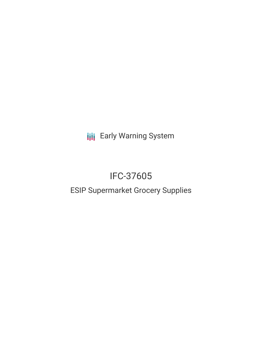**III** Early Warning System

# IFC-37605

# ESIP Supermarket Grocery Supplies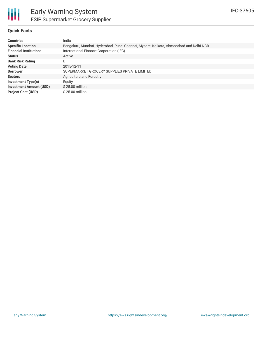

### **Quick Facts**

| <b>Countries</b>               | India                                                                                 |
|--------------------------------|---------------------------------------------------------------------------------------|
| <b>Specific Location</b>       | Bengaluru, Mumbai, Hyderabad, Pune, Chennai, Mysore, Kolkata, Ahmedabad and Delhi-NCR |
| <b>Financial Institutions</b>  | International Finance Corporation (IFC)                                               |
| <b>Status</b>                  | Active                                                                                |
| <b>Bank Risk Rating</b>        | B                                                                                     |
| <b>Voting Date</b>             | 2015-12-11                                                                            |
| <b>Borrower</b>                | SUPERMARKET GROCERY SUPPLIES PRIVATE LIMITED                                          |
| <b>Sectors</b>                 | Agriculture and Forestry                                                              |
| <b>Investment Type(s)</b>      | Equity                                                                                |
| <b>Investment Amount (USD)</b> | $$25.00$ million                                                                      |
| <b>Project Cost (USD)</b>      | \$25.00 million                                                                       |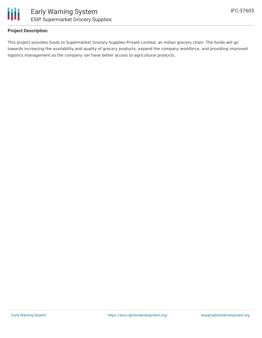

#### **Project Description**

This project provides funds to Supermarket Grocery Supplies Private Limited, an Indian grocery chain. The funds will go towards increasing the availability and quality of grocery products, expand the company workforce, and providing improved logistics management so the company ran have better access to agricultural products.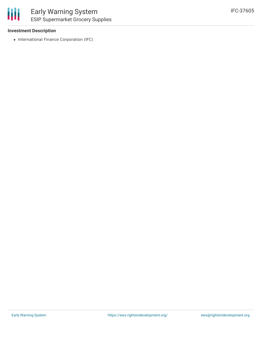#### **Investment Description**

• International Finance Corporation (IFC)